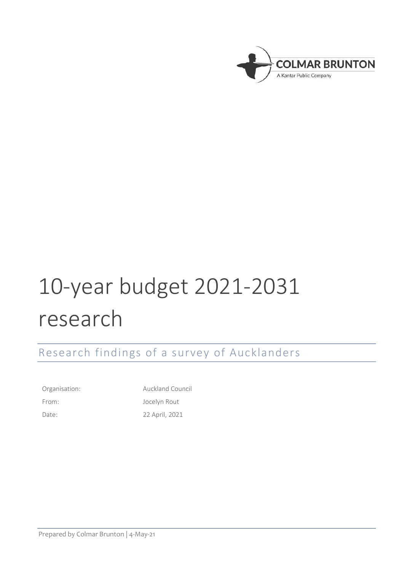

# 10-year budget 2021-2031 research

Research findings of a survey of Aucklanders

Organisation: Auckland Council

From: Jocelyn Rout Date: 22 April, 2021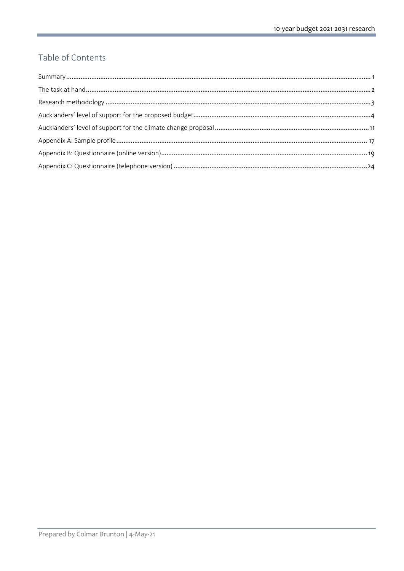# Table of Contents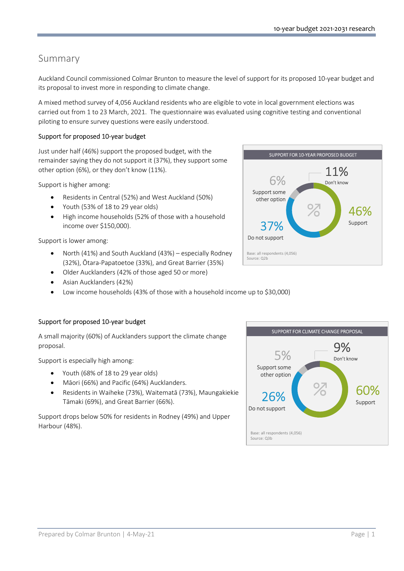# Summary

Auckland Council commissioned Colmar Brunton to measure the level of support for its proposed 10-year budget and its proposal to invest more in responding to climate change.

A mixed method survey of 4,056 Auckland residents who are eligible to vote in local government elections was carried out from 1 to 23 March, 2021. The questionnaire was evaluated using cognitive testing and conventional piloting to ensure survey questions were easily understood.

# Support for proposed 10-year budget

Just under half (46%) support the proposed budget, with the remainder saying they do not support it (37%), they support some other option (6%), or they don't know (11%).

Support is higher among:

- Residents in Central (52%) and West Auckland (50%)
- Youth (53% of 18 to 29 year olds)
- High income households (52% of those with a household income over \$150,000).

Support is lower among:

- North (41%) and South Auckland (43%) especially Rodney (32%), Ōtara-Papatoetoe (33%), and Great Barrier (35%)
- Older Aucklanders (42% of those aged 50 or more)
- Asian Aucklanders (42%)
- Low income households (43% of those with a household income up to \$30,000)

# Support for proposed 10-year budget

A small majority (60%) of Aucklanders support the climate change proposal.

Support is especially high among:

- Youth (68% of 18 to 29 year olds)
- Māori (66%) and Pacific (64%) Aucklanders.
- Residents in Waiheke (73%), Waitematā (73%), Maungakiekie Tāmaki (69%), and Great Barrier (66%).

Support drops below 50% for residents in Rodney (49%) and Upper Harbour (48%).



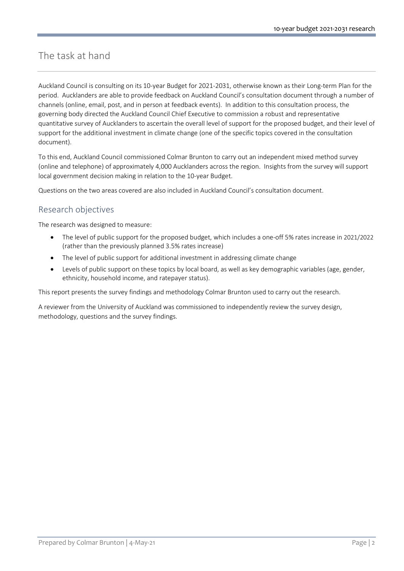# The task at hand

Auckland Council is consulting on its 10-year Budget for 2021-2031, otherwise known as their Long-term Plan for the period. Aucklanders are able to provide feedback on Auckland Council's consultation document through a number of channels (online, email, post, and in person at feedback events). In addition to this consultation process, the governing body directed the Auckland Council Chief Executive to commission a robust and representative quantitative survey of Aucklanders to ascertain the overall level of support for the proposed budget, and their level of support for the additional investment in climate change (one of the specific topics covered in the consultation document).

To this end, Auckland Council commissioned Colmar Brunton to carry out an independent mixed method survey (online and telephone) of approximately 4,000 Aucklanders across the region. Insights from the survey will support local government decision making in relation to the 10-year Budget.

Questions on the two areas covered are also included in Auckland Council's consultation document.

# Research objectives

The research was designed to measure:

- The level of public support for the proposed budget, which includes a one-off 5% rates increase in 2021/2022 (rather than the previously planned 3.5% rates increase)
- The level of public support for additional investment in addressing climate change
- Levels of public support on these topics by local board, as well as key demographic variables (age, gender, ethnicity, household income, and ratepayer status).

This report presents the survey findings and methodology Colmar Brunton used to carry out the research.

A reviewer from the University of Auckland was commissioned to independently review the survey design, methodology, questions and the survey findings.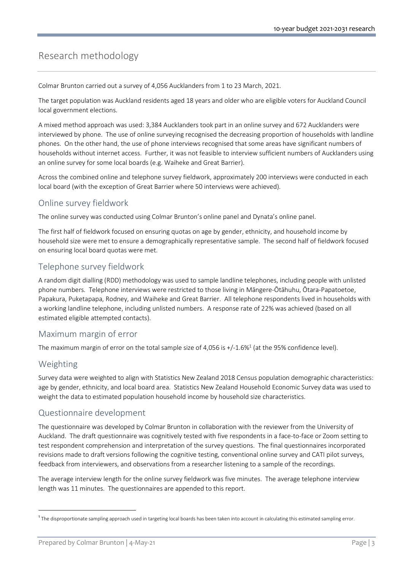# Research methodology

Colmar Brunton carried out a survey of 4,056 Aucklanders from 1 to 23 March, 2021.

The target population was Auckland residents aged 18 years and older who are eligible voters for Auckland Council local government elections.

A mixed method approach was used: 3,384 Aucklanders took part in an online survey and 672 Aucklanders were interviewed by phone. The use of online surveying recognised the decreasing proportion of households with landline phones. On the other hand, the use of phone interviews recognised that some areas have significant numbers of households without internet access. Further, it was not feasible to interview sufficient numbers of Aucklanders using an online survey for some local boards (e.g. Waiheke and Great Barrier).

Across the combined online and telephone survey fieldwork, approximately 200 interviews were conducted in each local board (with the exception of Great Barrier where 50 interviews were achieved).

# Online survey fieldwork

The online survey was conducted using Colmar Brunton's online panel and Dynata's online panel.

The first half of fieldwork focused on ensuring quotas on age by gender, ethnicity, and household income by household size were met to ensure a demographically representative sample. The second half of fieldwork focused on ensuring local board quotas were met.

# Telephone survey fieldwork

A random digit dialling (RDD) methodology was used to sample landline telephones, including people with unlisted phone numbers. Telephone interviews were restricted to those living in Māngere-Ōtāhuhu, Ōtara-Papatoetoe, Papakura, Puketapapa, Rodney, and Waiheke and Great Barrier. All telephone respondents lived in households with a working landline telephone, including unlisted numbers. A response rate of 22% was achieved (based on all estimated eligible attempted contacts).

# Maximum margin of error

The maximum margin of error on the total sample size of 4,056 is  $+/-1.6\%$ <sup>1</sup> (at the 95% confidence level).

# Weighting

Survey data were weighted to align with Statistics New Zealand 2018 Census population demographic characteristics: age by gender, ethnicity, and local board area. Statistics New Zealand Household Economic Survey data was used to weight the data to estimated population household income by household size characteristics.

# Questionnaire development

The questionnaire was developed by Colmar Brunton in collaboration with the reviewer from the University of Auckland. The draft questionnaire was cognitively tested with five respondents in a face-to-face or Zoom setting to test respondent comprehension and interpretation of the survey questions. The final questionnaires incorporated revisions made to draft versions following the cognitive testing, conventional online survey and CATI pilot surveys, feedback from interviewers, and observations from a researcher listening to a sample of the recordings.

The average interview length for the online survey fieldwork was five minutes. The average telephone interview length was 11 minutes. The questionnaires are appended to this report.

<sup>&</sup>lt;sup>1</sup> The disproportionate sampling approach used in targeting local boards has been taken into account in calculating this estimated sampling error.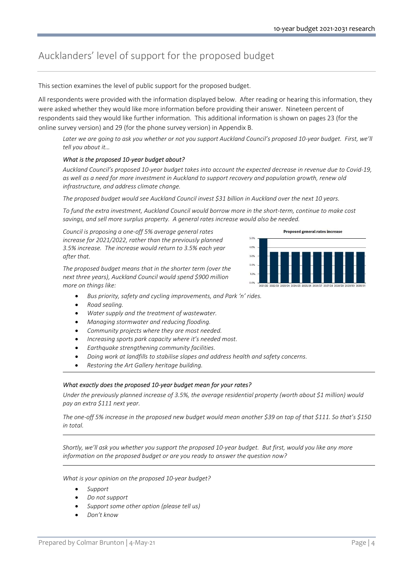# Aucklanders' level of support for the proposed budget

This section examines the level of public support for the proposed budget.

All respondents were provided with the information displayed below. After reading or hearing this information, they were asked whether they would like more information before providing their answer. Nineteen percent of respondents said they would like further information. This additional information is shown on pages 23 (for the online survey version) and 29 (for the phone survey version) in Appendix B.

Later we are going to ask you whether or not you support Auckland Council's proposed 10-year budget. First, we'll tell you about it…

## What is the proposed 10-year budget about?

Auckland Council's proposed 10-year budget takes into account the expected decrease in revenue due to Covid-19, as well as a need for more investment in Auckland to support recovery and population growth, renew old infrastructure, and address climate change.

The proposed budget would see Auckland Council invest \$31 billion in Auckland over the next 10 years.

To fund the extra investment, Auckland Council would borrow more in the short-term, continue to make cost savings, and sell more surplus property. A general rates increase would also be needed.

Council is proposing a one-off 5% average general rates increase for 2021/2022, rather than the previously planned 3.5% increase. The increase would return to 3.5% each year after that.

The proposed budget means that in the shorter term (over the next three years), Auckland Council would spend \$900 million more on things like:



- Road sealing.
- Water supply and the treatment of wastewater.
- Managing stormwater and reducing flooding.
- Community projects where they are most needed.
- Increasing sports park capacity where it's needed most.
- Earthquake strengthening community facilities.
- Doing work at landfills to stabilise slopes and address health and safety concerns.
- Restoring the Art Gallery heritage building.

## What exactly does the proposed 10-year budget mean for your rates?

Under the previously planned increase of 3.5%, the average residential property (worth about \$1 million) would pay an extra \$111 next year.

The one-off 5% increase in the proposed new budget would mean another \$39 on top of that \$111. So that's \$150 in total.

Shortly, we'll ask you whether you support the proposed 10-year budget. But first, would you like any more information on the proposed budget or are you ready to answer the question now?

What is your opinion on the proposed 10-year budget?

- Support
- Do not support
- Support some other option (please tell us)
- Don't know

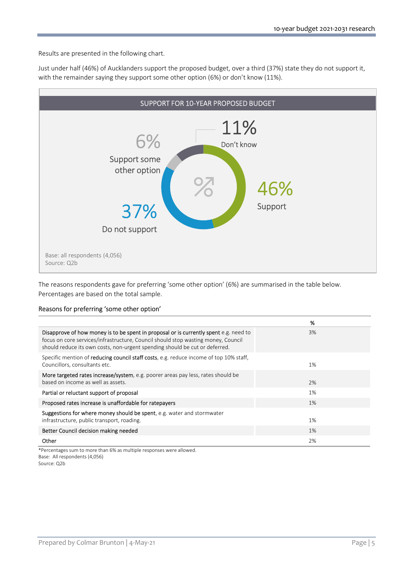Results are presented in the following chart.

Just under half (46%) of Aucklanders support the proposed budget, over a third (37%) state they do not support it, with the remainder saying they support some other option (6%) or don't know (11%).



The reasons respondents gave for preferring 'some other option' (6%) are summarised in the table below. Percentages are based on the total sample.

#### Reasons for preferring 'some other option'

|                                                                                                                                                                                                                                                           | %  |
|-----------------------------------------------------------------------------------------------------------------------------------------------------------------------------------------------------------------------------------------------------------|----|
| Disapprove of how money is to be spent in proposal or is currently spent e.g. need to<br>focus on core services/infrastructure, Council should stop wasting money, Council<br>should reduce its own costs, non-urgent spending should be cut or deferred. | 3% |
| Specific mention of <b>reducing council staff costs</b> , e.g. reduce income of top 10% staff,<br>Councillors, consultants etc.                                                                                                                           | 1% |
| More targeted rates increase/system, e.g. poorer areas pay less, rates should be<br>based on income as well as assets.                                                                                                                                    | 2% |
| Partial or reluctant support of proposal                                                                                                                                                                                                                  | 1% |
| Proposed rates increase is unaffordable for ratepayers                                                                                                                                                                                                    | 1% |
| Suggestions for where money should be spent, e.g. water and stormwater<br>infrastructure, public transport, roading.                                                                                                                                      | 1% |
| Better Council decision making needed                                                                                                                                                                                                                     | 1% |
| Other                                                                                                                                                                                                                                                     | 2% |

\*Percentages sum to more than 6% as multiple responses were allowed. Base: All respondents (4,056) Source: Q2b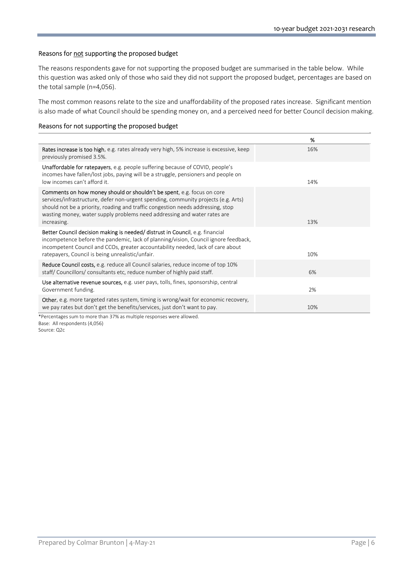## Reasons for not supporting the proposed budget

The reasons respondents gave for not supporting the proposed budget are summarised in the table below. While this question was asked only of those who said they did not support the proposed budget, percentages are based on the total sample (n=4,056).

The most common reasons relate to the size and unaffordability of the proposed rates increase. Significant mention is also made of what Council should be spending money on, and a perceived need for better Council decision making.

#### Reasons for not supporting the proposed budget

|                                                                                                                                                                                                                                                                                                                                            | %   |
|--------------------------------------------------------------------------------------------------------------------------------------------------------------------------------------------------------------------------------------------------------------------------------------------------------------------------------------------|-----|
| Rates increase is too high, e.g. rates already very high, 5% increase is excessive, keep<br>previously promised 3.5%.                                                                                                                                                                                                                      | 16% |
| <b>Unaffordable for ratepayers</b> , e.g. people suffering because of COVID, people's<br>incomes have fallen/lost jobs, paying will be a struggle, pensioners and people on<br>low incomes can't afford it.                                                                                                                                | 14% |
| Comments on how money should or shouldn't be spent, e.g. focus on core<br>services/infrastructure, defer non-urgent spending, community projects (e.g. Arts)<br>should not be a priority, roading and traffic congestion needs addressing, stop<br>wasting money, water supply problems need addressing and water rates are<br>increasing. | 13% |
| Better Council decision making is needed/ distrust in Council, e.g. financial<br>incompetence before the pandemic, lack of planning/vision, Council ignore feedback,<br>incompetent Council and CCOs, greater accountability needed, lack of care about<br>ratepayers, Council is being unrealistic/unfair.                                | 10% |
| <b>Reduce Council costs, e.g. reduce all Council salaries, reduce income of top 10%</b><br>staff/Councillors/consultants etc, reduce number of highly paid staff.                                                                                                                                                                          | 6%  |
| Use alternative revenue sources, e.g. user pays, tolls, fines, sponsorship, central<br>Government funding.                                                                                                                                                                                                                                 | 2%  |
| <b>Other</b> , e.g. more targeted rates system, timing is wrong/wait for economic recovery,<br>we pay rates but don't get the benefits/services, just don't want to pay.                                                                                                                                                                   | 10% |
| *Percentages sum to more than 37% as multiple responses were allowed.                                                                                                                                                                                                                                                                      |     |

Base: All respondents (4,056) Source: Q2c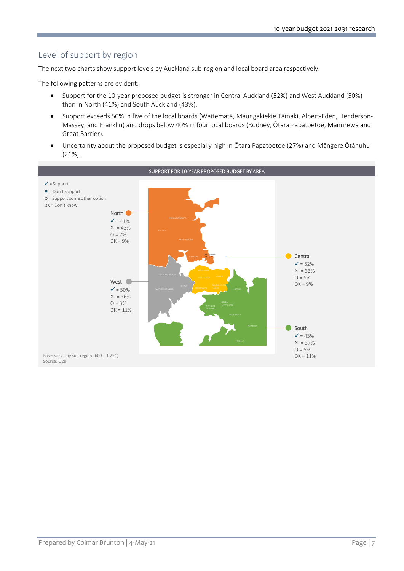# Level of support by region

The next two charts show support levels by Auckland sub-region and local board area respectively.

The following patterns are evident:

- Support for the 10-year proposed budget is stronger in Central Auckland (52%) and West Auckland (50%) than in North (41%) and South Auckland (43%).
- Support exceeds 50% in five of the local boards (Waitematā, Maungakiekie Tāmaki, Albert-Eden, Henderson-Massey, and Franklin) and drops below 40% in four local boards (Rodney, Ōtara Papatoetoe, Manurewa and Great Barrier).
- Uncertainty about the proposed budget is especially high in Ōtara Papatoetoe (27%) and Māngere Ōtāhuhu (21%).

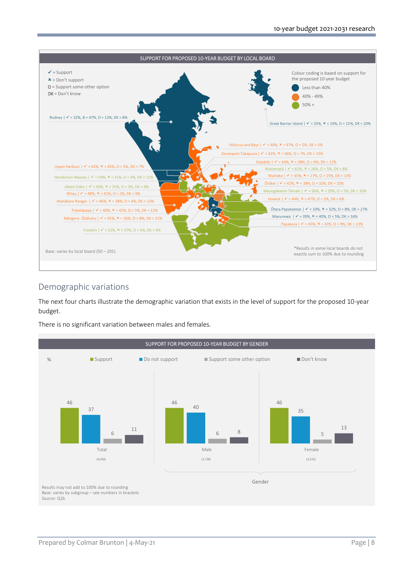

# Demographic variations

The next four charts illustrate the demographic variation that exists in the level of support for the proposed 10-year budget.

There is no significant variation between males and females.

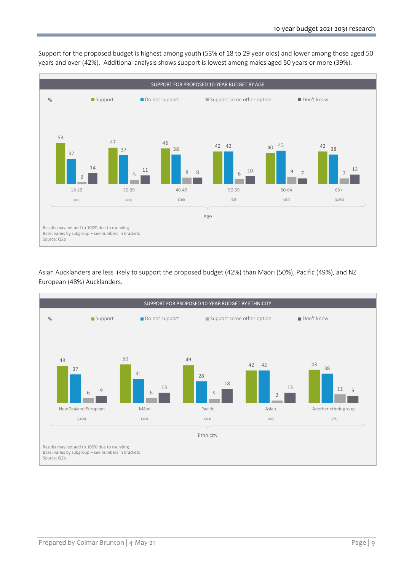

Support for the proposed budget is highest among youth (53% of 18 to 29 year olds) and lower among those aged 50 years and over (42%). Additional analysis shows support is lowest among males aged 50 years or more (39%).

Asian Aucklanders are less likely to support the proposed budget (42%) than Māori (50%), Pacific (49%), and NZ European (48%) Aucklanders.

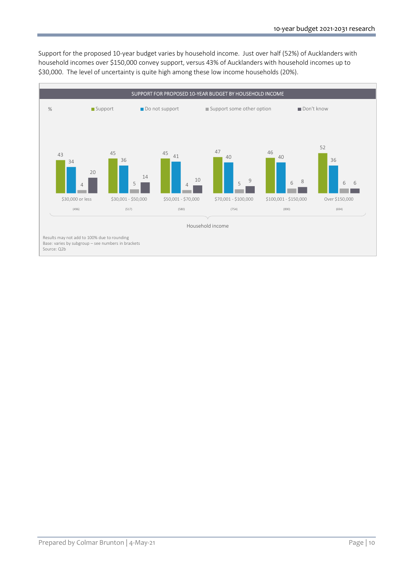Support for the proposed 10-year budget varies by household income. Just over half (52%) of Aucklanders with household incomes over \$150,000 convey support, versus 43% of Aucklanders with household incomes up to \$30,000. The level of uncertainty is quite high among these low income households (20%).

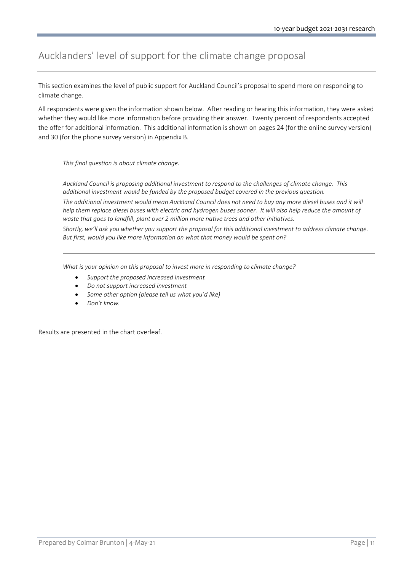# Aucklanders' level of support for the climate change proposal

This section examines the level of public support for Auckland Council's proposal to spend more on responding to climate change.

All respondents were given the information shown below. After reading or hearing this information, they were asked whether they would like more information before providing their answer. Twenty percent of respondents accepted the offer for additional information. This additional information is shown on pages 24 (for the online survey version) and 30 (for the phone survey version) in Appendix B.

This final question is about climate change.

Auckland Council is proposing additional investment to respond to the challenges of climate change. This additional investment would be funded by the proposed budget covered in the previous question.

The additional investment would mean Auckland Council does not need to buy any more diesel buses and it will help them replace diesel buses with electric and hydrogen buses sooner. It will also help reduce the amount of waste that goes to landfill, plant over 2 million more native trees and other initiatives.

Shortly, we'll ask you whether you support the proposal for this additional investment to address climate change. But first, would you like more information on what that money would be spent on?

What is your opinion on this proposal to invest more in responding to climate change?

- Support the proposed increased investment
- Do not support increased investment
- Some other option (please tell us what you'd like)
- Don't know.

Results are presented in the chart overleaf.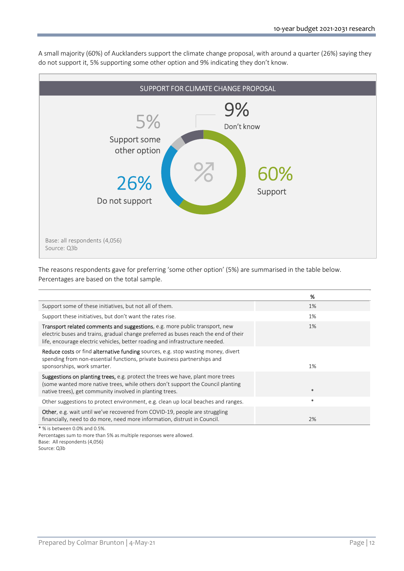A small majority (60%) of Aucklanders support the climate change proposal, with around a quarter (26%) saying they do not support it, 5% supporting some other option and 9% indicating they don't know.



The reasons respondents gave for preferring 'some other option' (5%) are summarised in the table below. Percentages are based on the total sample.

|                                                                                                                                                                                                                                                           | %      |
|-----------------------------------------------------------------------------------------------------------------------------------------------------------------------------------------------------------------------------------------------------------|--------|
| Support some of these initiatives, but not all of them.                                                                                                                                                                                                   | 1%     |
| Support these initiatives, but don't want the rates rise.                                                                                                                                                                                                 | 1%     |
| <b>Transport related comments and suggestions, e.g. more public transport, new</b><br>electric buses and trains, gradual change preferred as buses reach the end of their<br>life, encourage electric vehicles, better roading and infrastructure needed. | $1\%$  |
| <b>Reduce costs</b> or find <b>alternative funding</b> sources, e.g. stop wasting money, divert<br>spending from non-essential functions, private business partnerships and<br>sponsorships, work smarter.                                                | 1%     |
| <b>Suggestions on planting trees,</b> e.g. protect the trees we have, plant more trees<br>(some wanted more native trees, while others don't support the Council planting<br>native trees), get community involved in planting trees.                     | $\ast$ |
| Other suggestions to protect environment, e.g. clean up local beaches and ranges.                                                                                                                                                                         | $\ast$ |
| <b>Other</b> , e.g. wait until we've recovered from COVID-19, people are struggling<br>financially, need to do more, need more information, distrust in Council.                                                                                          | 2%     |
| * % is between 0.0% and 0.5%.                                                                                                                                                                                                                             |        |

Percentages sum to more than 5% as multiple responses were allowed. Base: All respondents (4,056) Source: Q3b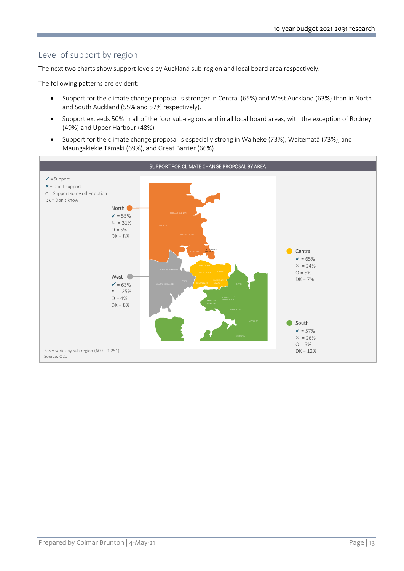# Level of support by region

The next two charts show support levels by Auckland sub-region and local board area respectively.

The following patterns are evident:

- Support for the climate change proposal is stronger in Central (65%) and West Auckland (63%) than in North and South Auckland (55% and 57% respectively).
- Support exceeds 50% in all of the four sub-regions and in all local board areas, with the exception of Rodney (49%) and Upper Harbour (48%)
- Support for the climate change proposal is especially strong in Waiheke (73%), Waitematā (73%), and Maungakiekie Tāmaki (69%), and Great Barrier (66%).

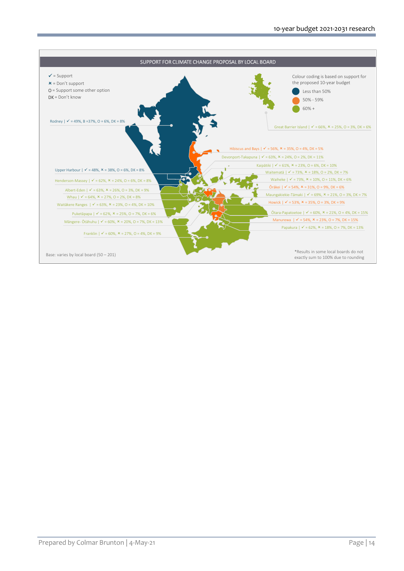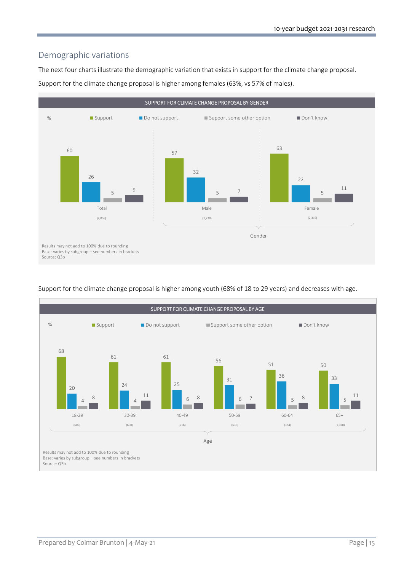# Demographic variations

The next four charts illustrate the demographic variation that exists in support for the climate change proposal. Support for the climate change proposal is higher among females (63%, vs 57% of males).





Support for the climate change proposal is higher among youth (68% of 18 to 29 years) and decreases with age.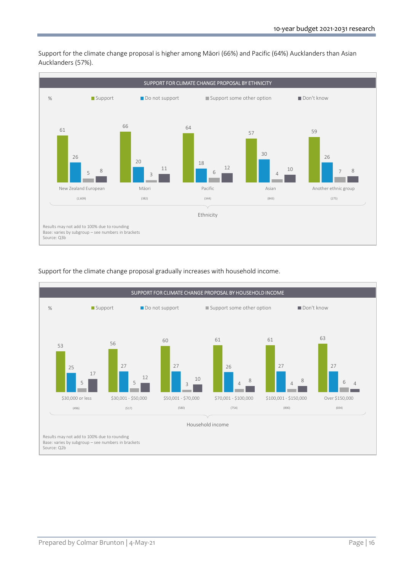

Support for the climate change proposal is higher among Māori (66%) and Pacific (64%) Aucklanders than Asian Aucklanders (57%).

## Support for the climate change proposal gradually increases with household income.

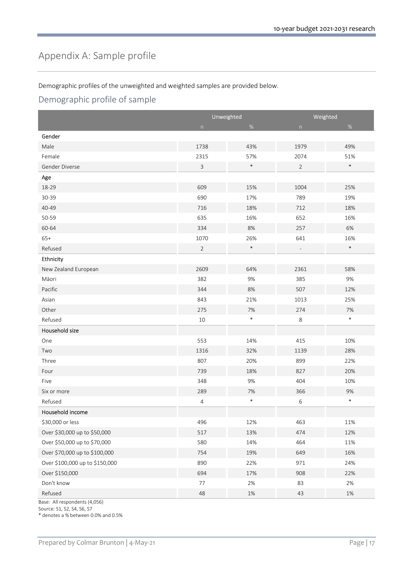# Appendix A: Sample profile

Demographic profiles of the unweighted and weighted samples are provided below.

# Demographic profile of sample

|                                | Unweighted     |        | Weighted         |        |
|--------------------------------|----------------|--------|------------------|--------|
|                                | n              | $\%$   | $\boldsymbol{n}$ | $\%$   |
| Gender                         |                |        |                  |        |
| Male                           | 1738           | 43%    | 1979             | 49%    |
| Female                         | 2315           | 57%    | 2074             | 51%    |
| Gender Diverse                 | 3              | $\ast$ | $\overline{2}$   | $\ast$ |
| Age                            |                |        |                  |        |
| 18-29                          | 609            | 15%    | 1004             | 25%    |
| 30-39                          | 690            | 17%    | 789              | 19%    |
| 40-49                          | 716            | 18%    | 712              | 18%    |
| 50-59                          | 635            | 16%    | 652              | 16%    |
| 60-64                          | 334            | 8%     | 257              | 6%     |
| $65+$                          | 1070           | 26%    | 641              | 16%    |
| Refused                        | $\overline{2}$ | $\ast$ |                  | $\ast$ |
| Ethnicity                      |                |        |                  |        |
| New Zealand European           | 2609           | 64%    | 2361             | 58%    |
| Māori                          | 382            | 9%     | 385              | 9%     |
| Pacific                        | 344            | 8%     | 507              | 12%    |
| Asian                          | 843            | 21%    | 1013             | 25%    |
| Other                          | 275            | $7%$   | 274              | $7%$   |
| Refused                        | 10             | $\ast$ | 8                | $\ast$ |
| Household size                 |                |        |                  |        |
| One                            | 553            | 14%    | 415              | 10%    |
| Two                            | 1316           | 32%    | 1139             | 28%    |
| Three                          | 807            | 20%    | 899              | 22%    |
| Four                           | 739            | 18%    | 827              | 20%    |
| Five                           | 348            | 9%     | 404              | 10%    |
| Six or more                    | 289            | 7%     | 366              | 9%     |
| Refused                        | 4              | $\ast$ | 6                | $\ast$ |
| Household income               |                |        |                  |        |
| \$30,000 or less               | 496            | 12%    | 463              | 11%    |
| Over \$30,000 up to \$50,000   | 517            | 13%    | 474              | 12%    |
| Over \$50,000 up to \$70,000   | 580            | 14%    | 464              | 11%    |
| Over \$70,000 up to \$100,000  | 754            | 19%    | 649              | 16%    |
| Over \$100,000 up to \$150,000 | 890            | 22%    | 971              | 24%    |
| Over \$150,000                 | 694            | 17%    | 908              | 22%    |
| Don't know                     | 77             | $2\%$  | 83               | $2\%$  |
| Refused                        | 48             | $1\%$  | 43               | $1\%$  |

Base: All respondents (4,056)

Source: S1, S2, S4, S6, S7

\* denotes a % between 0.0% and 0.5%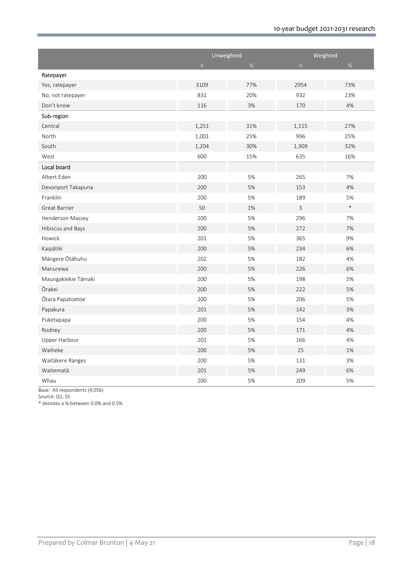|                      | Unweighted  |      | Weighted         |        |
|----------------------|-------------|------|------------------|--------|
|                      | $\mathsf n$ | $\%$ | $\boldsymbol{n}$ | $\%$   |
| Ratepayer            |             |      |                  |        |
| Yes, ratepayer       | 3109        | 77%  | 2954             | 73%    |
| No, not ratepayer    | 831         | 20%  | 932              | 23%    |
| Don't know           | 116         | 3%   | 170              | 4%     |
| Sub-region           |             |      |                  |        |
| Central              | 1,251       | 31%  | 1,115            | 27%    |
| North                | 1,001       | 25%  | 996              | 25%    |
| South                | 1,204       | 30%  | 1,309            | 32%    |
| West                 | 600         | 15%  | 635              | 16%    |
| Local board          |             |      |                  |        |
| Albert Eden          | 200         | 5%   | 265              | 7%     |
| Devonport Takapuna   | 200         | 5%   | 153              | 4%     |
| Franklin             | 200         | 5%   | 189              | 5%     |
| <b>Great Barrier</b> | 50          | 1%   | 3                | $\ast$ |
| Henderson Massey     | 200         | 5%   | 296              | 7%     |
| Hibiscus and Bays    | 200         | 5%   | 272              | 7%     |
| Howick               | 201         | 5%   | 365              | 9%     |
| Kaipātiki            | 200         | 5%   | 234              | 6%     |
| Mängere Ötähuhu      | 202         | 5%   | 182              | 4%     |
| Manurewa             | 200         | 5%   | 226              | 6%     |
| Maungakiekie Tāmaki  | 200         | 5%   | 198              | 5%     |
| Ōrakei               | 200         | 5%   | 222              | 5%     |
| Ōtara Papatoetoe     | 200         | 5%   | 206              | 5%     |
| Papakura             | 201         | 5%   | 142              | 3%     |
| Puketapapa           | 200         | 5%   | 154              | 4%     |
| Rodney               | 200         | 5%   | 171              | 4%     |
| Upper Harbour        | 201         | 5%   | 166              | 4%     |
| Waiheke              | 200         | 5%   | 25               | 1%     |
| Waitākere Ranges     | 200         | 5%   | 131              | 3%     |
| Waitematā            | 201         | 5%   | 249              | 6%     |
| Whau                 | 200         | 5%   | 209              | 5%     |

Base: All respondents (4,056)

Source: Q1, S5

\* denotes a % between 0.0% and 0.5%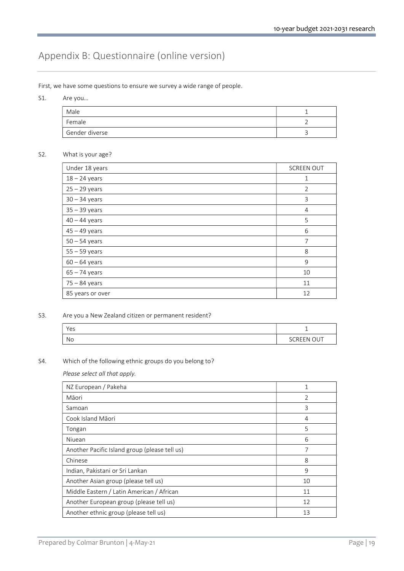# Appendix B: Questionnaire (online version)

First, we have some questions to ensure we survey a wide range of people.

S1. Are you…

| Male           |  |
|----------------|--|
| Female         |  |
| Gender diverse |  |

## S2. What is your age?

| Under 18 years   | <b>SCREEN OUT</b> |
|------------------|-------------------|
| $18 - 24$ years  | $\mathbf{1}$      |
| $25 - 29$ years  | $\overline{2}$    |
| $30 - 34$ years  | 3                 |
| $35 - 39$ years  | $\overline{4}$    |
| $40 - 44$ years  | 5                 |
| $45 - 49$ years  | 6                 |
| $50 - 54$ years  | 7                 |
| $55 - 59$ years  | 8                 |
| $60 - 64$ years  | 9                 |
| $65 - 74$ years  | 10                |
| $75 - 84$ years  | 11                |
| 85 years or over | 12                |

## S3. Are you a New Zealand citizen or permanent resident?

| Yes |                   |
|-----|-------------------|
| No  | <b>SCREEN OUT</b> |

## S4. Which of the following ethnic groups do you belong to?

Please select all that apply.

| NZ European / Pakeha                          | 1             |
|-----------------------------------------------|---------------|
| Māori                                         | $\mathcal{P}$ |
| Samoan                                        | 3             |
| Cook Island Māori                             | 4             |
| Tongan                                        | 5             |
| Niuean                                        | 6             |
| Another Pacific Island group (please tell us) | 7             |
| Chinese                                       | 8             |
| Indian, Pakistani or Sri Lankan               | 9             |
| Another Asian group (please tell us)          | 10            |
| Middle Eastern / Latin American / African     | 11            |
| Another European group (please tell us)       | 12            |
| Another ethnic group (please tell us)         | 13            |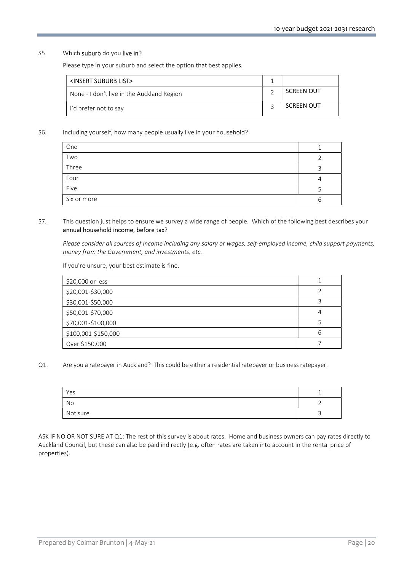#### S5 Which suburb do you live in?

Please type in your suburb and select the option that best applies.

| <insert list="" suburb=""></insert>        |                   |
|--------------------------------------------|-------------------|
| None - I don't live in the Auckland Region | <b>SCREEN OUT</b> |
| I'd prefer not to say                      | <b>SCREEN OUT</b> |

S6. Including yourself, how many people usually live in your household?

| One         |   |
|-------------|---|
| Two         |   |
| Three       |   |
| Four        |   |
| Five        |   |
| Six or more | n |

## S7. This question just helps to ensure we survey a wide range of people. Which of the following best describes your annual household income, before tax?

Please consider all sources of income including any salary or wages, self-employed income, child support payments, money from the Government, and investments, etc.

If you're unsure, your best estimate is fine.

| \$20,000 or less    |  |
|---------------------|--|
| \$20,001-\$30,000   |  |
| \$30,001-\$50,000   |  |
| \$50,001-\$70,000   |  |
| \$70,001-\$100,000  |  |
| \$100,001-\$150,000 |  |
| Over \$150,000      |  |

#### Q1. Are you a ratepayer in Auckland? This could be either a residential ratepayer or business ratepayer.

| Yes      |                       |
|----------|-----------------------|
| No       |                       |
| Not sure | $\tilde{\phantom{a}}$ |

ASK IF NO OR NOT SURE AT Q1: The rest of this survey is about rates. Home and business owners can pay rates directly to Auckland Council, but these can also be paid indirectly (e.g. often rates are taken into account in the rental price of properties).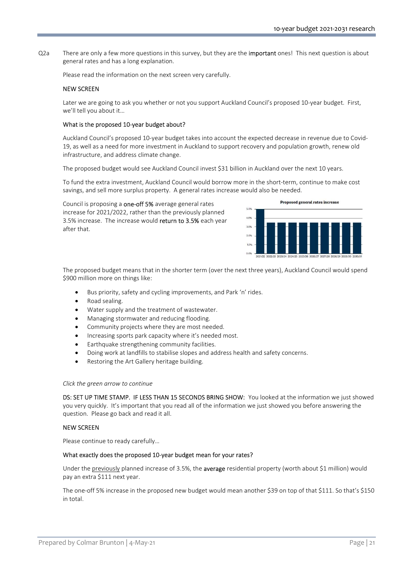Q2a There are only a few more questions in this survey, but they are the **important** ones! This next question is about general rates and has a long explanation.

Please read the information on the next screen very carefully.

## NEW SCREEN

Later we are going to ask you whether or not you support Auckland Council's proposed 10-year budget. First, we'll tell you about it…

#### What is the proposed 10-year budget about?

Auckland Council's proposed 10-year budget takes into account the expected decrease in revenue due to Covid-19, as well as a need for more investment in Auckland to support recovery and population growth, renew old infrastructure, and address climate change.

The proposed budget would see Auckland Council invest \$31 billion in Auckland over the next 10 years.

To fund the extra investment, Auckland Council would borrow more in the short-term, continue to make cost savings, and sell more surplus property. A general rates increase would also be needed.

Council is proposing a one-off 5% average general rates increase for 2021/2022, rather than the previously planned 3.5% increase. The increase would return to 3.5% each year after that.



The proposed budget means that in the shorter term (over the next three years), Auckland Council would spend \$900 million more on things like:

- Bus priority, safety and cycling improvements, and Park 'n' rides.
- Road sealing.
- Water supply and the treatment of wastewater.
- Managing stormwater and reducing flooding.
- Community projects where they are most needed.
- Increasing sports park capacity where it's needed most.
- Earthquake strengthening community facilities.
- Doing work at landfills to stabilise slopes and address health and safety concerns.
- Restoring the Art Gallery heritage building.

#### Click the green arrow to continue

DS: SET UP TIME STAMP. IF LESS THAN 15 SECONDS BRING SHOW: You looked at the information we just showed you very quickly. It's important that you read all of the information we just showed you before answering the question. Please go back and read it all.

#### NEW SCREEN

Please continue to ready carefully…

#### What exactly does the proposed 10-year budget mean for your rates?

Under the previously planned increase of 3.5%, the average residential property (worth about \$1 million) would pay an extra \$111 next year.

The one-off 5% increase in the proposed new budget would mean another \$39 on top of that \$111. So that's \$150 in total.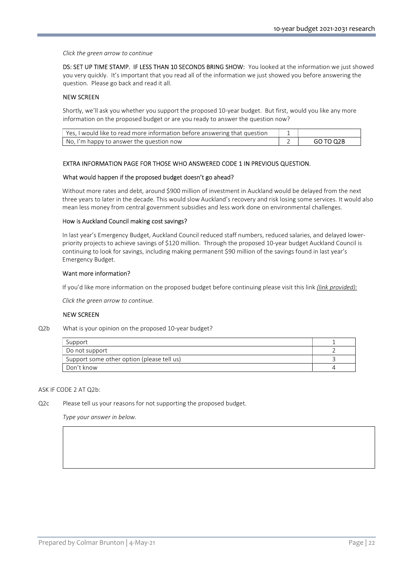Click the green arrow to continue

DS: SET UP TIME STAMP. IF LESS THAN 10 SECONDS BRING SHOW: You looked at the information we just showed you very quickly. It's important that you read all of the information we just showed you before answering the question. Please go back and read it all.

## NEW SCREEN

 Shortly, we'll ask you whether you support the proposed 10-year budget. But first, would you like any more information on the proposed budget or are you ready to answer the question now?

| Yes, I would like to read more information before answering that question |           |
|---------------------------------------------------------------------------|-----------|
| No, I'm happy to answer the question now                                  | GO TO Q2B |

## EXTRA INFORMATION PAGE FOR THOSE WHO ANSWERED CODE 1 IN PREVIOUS QUESTION.

#### What would happen if the proposed budget doesn't go ahead?

Without more rates and debt, around \$900 million of investment in Auckland would be delayed from the next three years to later in the decade. This would slow Auckland's recovery and risk losing some services. It would also mean less money from central government subsidies and less work done on environmental challenges.

#### How is Auckland Council making cost savings?

In last year's Emergency Budget, Auckland Council reduced staff numbers, reduced salaries, and delayed lowerpriority projects to achieve savings of \$120 million. Through the proposed 10-year budget Auckland Council is continuing to look for savings, including making permanent \$90 million of the savings found in last year's Emergency Budget.

#### Want more information?

If you'd like more information on the proposed budget before continuing please visit this link (link provided):

Click the green arrow to continue.

#### NEW SCREEN

Q2b What is your opinion on the proposed 10-year budget?

| Support                                    |  |
|--------------------------------------------|--|
| Do not support                             |  |
| Support some other option (please tell us) |  |
| Don't know                                 |  |

#### ASK IF CODE 2 AT Q2b:

Q2c Please tell us your reasons for not supporting the proposed budget.

Type your answer in below.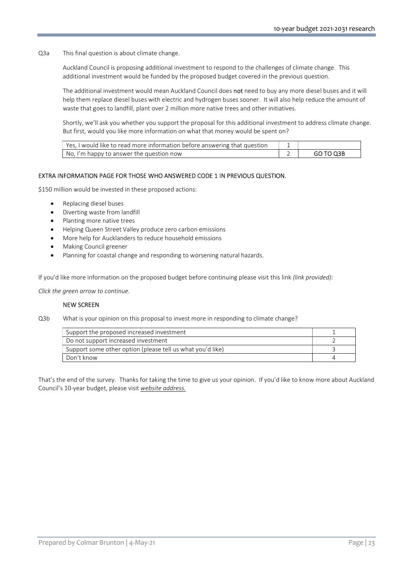Q3a This final question is about climate change.

Auckland Council is proposing additional investment to respond to the challenges of climate change. This additional investment would be funded by the proposed budget covered in the previous question.

The additional investment would mean Auckland Council does not need to buy any more diesel buses and it will help them replace diesel buses with electric and hydrogen buses sooner. It will also help reduce the amount of waste that goes to landfill, plant over 2 million more native trees and other initiatives.

Shortly, we'll ask you whether you support the proposal for this additional investment to address climate change. But first, would you like more information on what that money would be spent on?

| Yes, I would like to read more information before answering that question |           |
|---------------------------------------------------------------------------|-----------|
| No, I'm happy to answer the question now                                  | GO TO Q3B |

## EXTRA INFORMATION PAGE FOR THOSE WHO ANSWERED CODE 1 IN PREVIOUS QUESTION.

\$150 million would be invested in these proposed actions:

- Replacing diesel buses
- Diverting waste from landfill
- Planting more native trees
- Helping Queen Street Valley produce zero carbon emissions
- More help for Aucklanders to reduce household emissions
- Making Council greener
- Planning for coastal change and responding to worsening natural hazards.

If you'd like more information on the proposed budget before continuing please visit this link (link provided):

Click the green arrow to continue.

#### NEW SCREEN

Q3b What is your opinion on this proposal to invest more in responding to climate change?

| Support the proposed increased investment                  |  |
|------------------------------------------------------------|--|
| Do not support increased investment                        |  |
| Support some other option (please tell us what you'd like) |  |
| Don't know                                                 |  |

That's the end of the survey. Thanks for taking the time to give us your opinion. If you'd like to know more about Auckland Council's 10-year budget, please visit website address.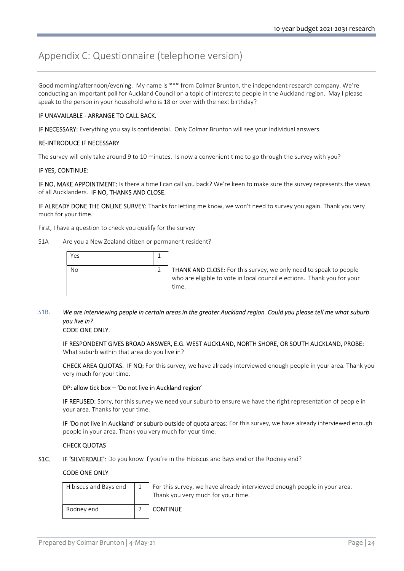# Appendix C: Questionnaire (telephone version)

Good morning/afternoon/evening. My name is \*\*\* from Colmar Brunton, the independent research company. We're conducting an important poll for Auckland Council on a topic of interest to people in the Auckland region. May I please speak to the person in your household who is 18 or over with the next birthday?

## IF UNAVAILABLE - ARRANGE TO CALL BACK.

IF NECESSARY: Everything you say is confidential. Only Colmar Brunton will see your individual answers.

#### RE-INTRODUCE IF NECESSARY

The survey will only take around 9 to 10 minutes. Is now a convenient time to go through the survey with you?

#### IF YES, CONTINUE:

IF NO, MAKE APPOINTMENT: Is there a time I can call you back? We're keen to make sure the survey represents the views of all Aucklanders. IF NO, THANKS AND CLOSE.

IF ALREADY DONE THE ONLINE SURVEY: Thanks for letting me know, we won't need to survey you again. Thank you very much for your time.

First, I have a question to check you qualify for the survey

#### S1A Are you a New Zealand citizen or permanent resident?

| Yes |  |
|-----|--|
| No  |  |

THANK AND CLOSE: For this survey, we only need to speak to people who are eligible to vote in local council elections. Thank you for your time.

# S1B. We are interviewing people in certain areas in the greater Auckland region. Could you please tell me what suburb you live in?

## CODE ONE ONLY.

IF RESPONDENT GIVES BROAD ANSWER, E.G. WEST AUCKLAND, NORTH SHORE, OR SOUTH AUCKLAND, PROBE: What suburb within that area do you live in?

CHECK AREA QUOTAS. IF NQ: For this survey, we have already interviewed enough people in your area. Thank you very much for your time.

#### DP: allow tick box – 'Do not live in Auckland region'

IF REFUSED: Sorry, for this survey we need your suburb to ensure we have the right representation of people in your area. Thanks for your time.

IF 'Do not live in Auckland' or suburb outside of quota areas: For this survey, we have already interviewed enough people in your area. Thank you very much for your time.

## CHECK QUOTAS

S1C. IF 'SILVERDALE': Do you know if you're in the Hibiscus and Bays end or the Rodney end?

## CODE ONE ONLY

| Hibiscus and Bays end | For this survey, we have already interviewed enough people in your area.<br>Thank you very much for your time. |
|-----------------------|----------------------------------------------------------------------------------------------------------------|
| Rodnev end            | <b>CONTINUE</b>                                                                                                |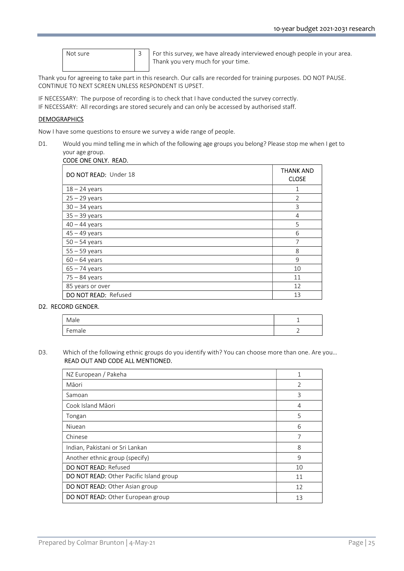| Not sure |  |
|----------|--|
|          |  |

 $\overline{3}$  For this survey, we have already interviewed enough people in your area. Thank you very much for your time.

Thank you for agreeing to take part in this research. Our calls are recorded for training purposes. DO NOT PAUSE. CONTINUE TO NEXT SCREEN UNLESS RESPONDENT IS UPSET.

IF NECESSARY: The purpose of recording is to check that I have conducted the survey correctly. IF NECESSARY: All recordings are stored securely and can only be accessed by authorised staff.

## **DEMOGRAPHICS**

Now I have some questions to ensure we survey a wide range of people.

D1. Would you mind telling me in which of the following age groups you belong? Please stop me when I get to your age group.

| CODE ONE ONLY. READ.  |                                  |  |  |
|-----------------------|----------------------------------|--|--|
| DO NOT READ: Under 18 | <b>THANK AND</b><br><b>CLOSE</b> |  |  |
| $18 - 24$ years       | 1                                |  |  |
| $25 - 29$ years       | $\overline{2}$                   |  |  |
| $30 - 34$ years       | 3                                |  |  |
| $35 - 39$ years       | 4                                |  |  |
| $40 - 44$ years       | 5                                |  |  |
| $45 - 49$ years       | 6                                |  |  |
| $50 - 54$ years       | $\overline{7}$                   |  |  |
| $55 - 59$ years       | 8                                |  |  |
| $60 - 64$ years       | 9                                |  |  |
| $65 - 74$ years       | 10                               |  |  |
| $75 - 84$ years       | 11                               |  |  |
| 85 years or over      | 12                               |  |  |
| DO NOT READ: Refused  | 13                               |  |  |

#### D2. RECORD GENDER.

| Male                    | -- |
|-------------------------|----|
| $\overline{a}$<br>emale | -  |

## D3. Which of the following ethnic groups do you identify with? You can choose more than one. Are you... READ OUT AND CODE ALL MENTIONED.

| NZ European / Pakeha                     |                |
|------------------------------------------|----------------|
| Māori                                    | $\overline{2}$ |
| Samoan                                   | 3              |
| Cook Island Māori                        | 4              |
| Tongan                                   | 5              |
| Niuean                                   | 6              |
| Chinese                                  | 7              |
| Indian, Pakistani or Sri Lankan          | 8              |
| Another ethnic group (specify)           | 9              |
| <b>DO NOT READ: Refused</b>              | 10             |
| DO NOT READ: Other Pacific Island group  | 11             |
| <b>DO NOT READ:</b> Other Asian group    | 12             |
| <b>DO NOT READ:</b> Other European group | 13             |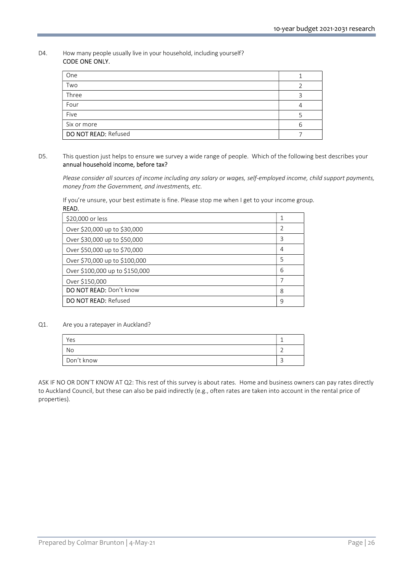#### D4. How many people usually live in your household, including yourself? CODE ONE ONLY.

| One                  |  |
|----------------------|--|
| Two                  |  |
| Three                |  |
| Four                 |  |
| Five                 |  |
| Six or more          |  |
| DO NOT READ: Refused |  |

## D5. This question just helps to ensure we survey a wide range of people. Which of the following best describes your annual household income, before tax?

Please consider all sources of income including any salary or wages, self-employed income, child support payments, money from the Government, and investments, etc.

If you're unsure, your best estimate is fine. Please stop me when I get to your income group. READ.

| \$20,000 or less               |   |
|--------------------------------|---|
| Over \$20,000 up to \$30,000   | 2 |
| Over \$30,000 up to \$50,000   | 3 |
| Over \$50,000 up to \$70,000   | 4 |
| Over \$70,000 up to \$100,000  | 5 |
| Over \$100,000 up to \$150,000 | 6 |
| Over \$150,000                 | 7 |
| DO NOT READ: Don't know        | 8 |
| <b>DO NOT READ: Refused</b>    | 9 |

## Q1. Are you a ratepayer in Auckland?

| Yes        |  |
|------------|--|
| No         |  |
| Don't know |  |
|            |  |

ASK IF NO OR DON'T KNOW AT Q2: This rest of this survey is about rates. Home and business owners can pay rates directly to Auckland Council, but these can also be paid indirectly (e.g., often rates are taken into account in the rental price of properties).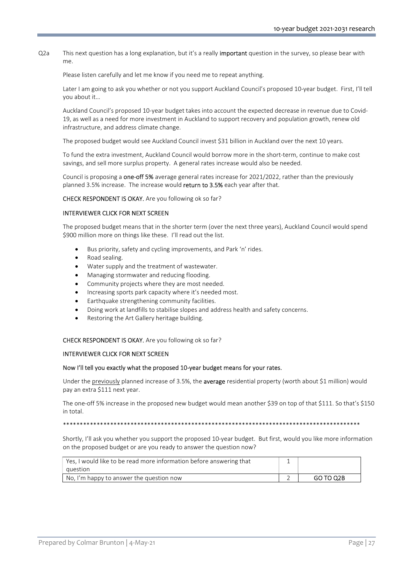Q2a This next question has a long explanation, but it's a really **important** question in the survey, so please bear with me.

Please listen carefully and let me know if you need me to repeat anything.

Later I am going to ask you whether or not you support Auckland Council's proposed 10-year budget. First, I'll tell you about it…

Auckland Council's proposed 10-year budget takes into account the expected decrease in revenue due to Covid-19, as well as a need for more investment in Auckland to support recovery and population growth, renew old infrastructure, and address climate change.

The proposed budget would see Auckland Council invest \$31 billion in Auckland over the next 10 years.

To fund the extra investment, Auckland Council would borrow more in the short-term, continue to make cost savings, and sell more surplus property. A general rates increase would also be needed.

Council is proposing a **one-off 5%** average general rates increase for 2021/2022, rather than the previously planned 3.5% increase. The increase would return to 3.5% each year after that.

CHECK RESPONDENT IS OKAY. Are you following ok so far?

#### INTERVIEWER CLICK FOR NEXT SCREEN

The proposed budget means that in the shorter term (over the next three years), Auckland Council would spend \$900 million more on things like these. I'll read out the list.

- Bus priority, safety and cycling improvements, and Park 'n' rides.
- Road sealing.
- Water supply and the treatment of wastewater.
- Managing stormwater and reducing flooding.
- Community projects where they are most needed.
- Increasing sports park capacity where it's needed most.
- Earthquake strengthening community facilities.
- Doing work at landfills to stabilise slopes and address health and safety concerns.
- Restoring the Art Gallery heritage building.

#### CHECK RESPONDENT IS OKAY. Are you following ok so far?

#### INTERVIEWER CLICK FOR NEXT SCREEN

#### Now I'll tell you exactly what the proposed 10-year budget means for your rates.

Under the previously planned increase of 3.5%, the average residential property (worth about \$1 million) would pay an extra \$111 next year.

The one-off 5% increase in the proposed new budget would mean another \$39 on top of that \$111. So that's \$150 in total.

\*\*\*\*\*\*\*\*\*\*\*\*\*\*\*\*\*\*\*\*\*\*\*\*\*\*\*\*\*\*\*\*\*\*\*\*\*\*\*\*\*\*\*\*\*\*\*\*\*\*\*\*\*\*\*\*\*\*\*\*\*\*\*\*\*\*\*\*\*\*\*\*\*\*\*\*\*\*\*\*\*\*\*\*\*\*\*\*

 Shortly, I'll ask you whether you support the proposed 10-year budget. But first, would you like more information on the proposed budget or are you ready to answer the question now?

| Yes. I would like to be read more information before answering that |           |
|---------------------------------------------------------------------|-----------|
| auestion                                                            |           |
| No, I'm happy to answer the question now                            | GO TO Q2B |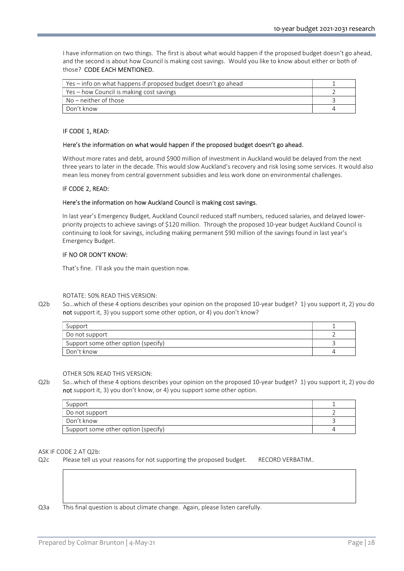I have information on two things. The first is about what would happen if the proposed budget doesn't go ahead, and the second is about how Council is making cost savings. Would you like to know about either or both of those? CODE EACH MENTIONED.

| Yes – info on what happens if proposed budget doesn't go ahead |  |
|----------------------------------------------------------------|--|
| Yes – how Council is making cost savings                       |  |
| $No$ – neither of those                                        |  |
| Don't know                                                     |  |

#### IF CODE 1, READ:

#### Here's the information on what would happen if the proposed budget doesn't go ahead.

Without more rates and debt, around \$900 million of investment in Auckland would be delayed from the next three years to later in the decade. This would slow Auckland's recovery and risk losing some services. It would also mean less money from central government subsidies and less work done on environmental challenges.

#### IF CODE 2, READ:

#### Here's the information on how Auckland Council is making cost savings.

In last year's Emergency Budget, Auckland Council reduced staff numbers, reduced salaries, and delayed lowerpriority projects to achieve savings of \$120 million. Through the proposed 10-year budget Auckland Council is continuing to look for savings, including making permanent \$90 million of the savings found in last year's Emergency Budget.

## IF NO OR DON'T KNOW:

That's fine. I'll ask you the main question now.

#### ROTATE: 50% READ THIS VERSION:

Q2b So…which of these 4 options describes your opinion on the proposed 10-year budget? 1) you support it, 2) you do not support it, 3) you support some other option, or 4) you don't know?

| Support                             |  |
|-------------------------------------|--|
| Do not support                      |  |
| Support some other option (specify) |  |
| Don't know                          |  |

OTHER 50% READ THIS VERSION:

Q2b So…which of these 4 options describes your opinion on the proposed 10-year budget? 1) you support it, 2) you do not support it, 3) you don't know, or 4) you support some other option.

| Support                             |  |
|-------------------------------------|--|
| Do not support                      |  |
| Don't know                          |  |
| Support some other option (specify) |  |

#### ASK IF CODE 2 AT Q2b:

Q2c Please tell us your reasons for not supporting the proposed budget. RECORD VERBATIM..

Q3a This final question is about climate change. Again, please listen carefully.